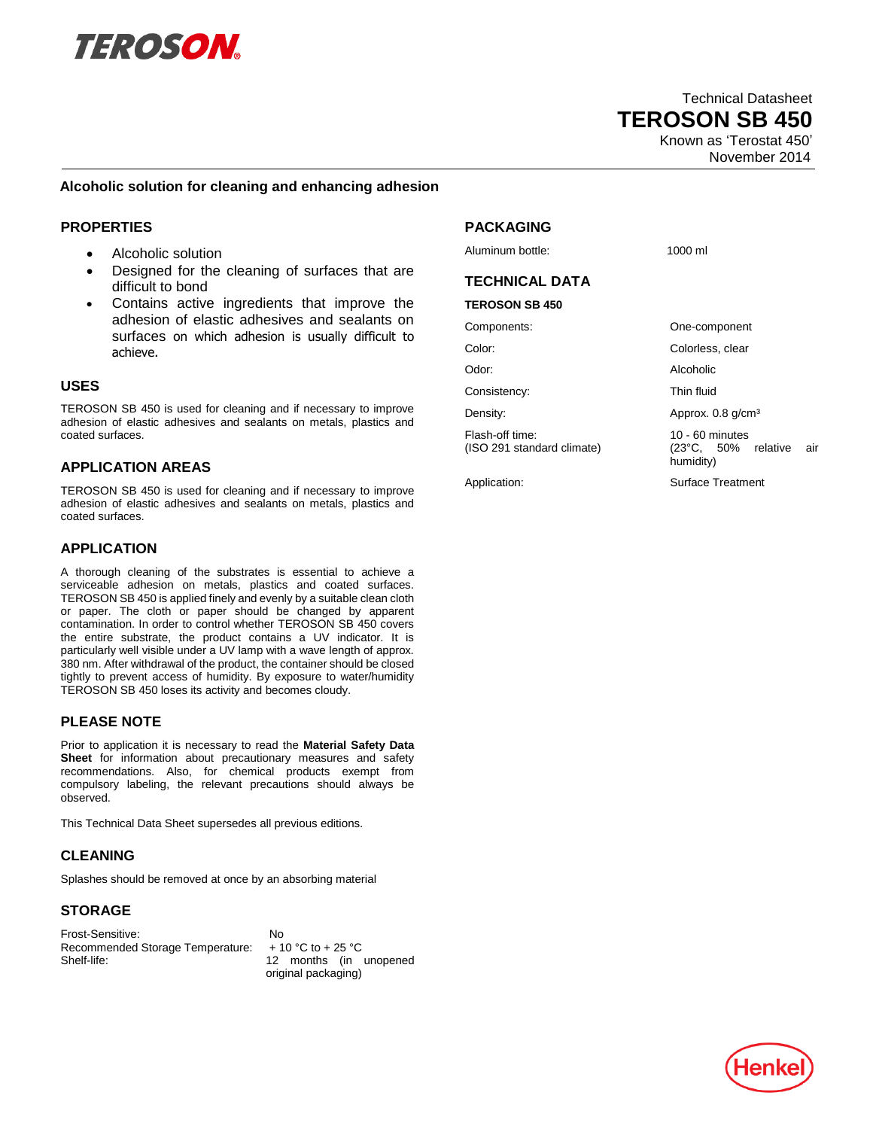

 Technical Datasheet  **TEROSON SB 450** Known as 'Terostat 450'

November 2014

#### **Alcoholic solution for cleaning and enhancing adhesion**

# **PROPERTIES**

- Alcoholic solution
- Designed for the cleaning of surfaces that are difficult to bond
- Contains active ingredients that improve the adhesion of elastic adhesives and sealants on surfaces on which adhesion is usually difficult to achieve.

#### **USES**

TEROSON SB 450 is used for cleaning and if necessary to improve adhesion of elastic adhesives and sealants on metals, plastics and coated surfaces.

# **APPLICATION AREAS**

TEROSON SB 450 is used for cleaning and if necessary to improve adhesion of elastic adhesives and sealants on metals, plastics and coated surfaces.

# **APPLICATION**

A thorough cleaning of the substrates is essential to achieve a serviceable adhesion on metals, plastics and coated surfaces. TEROSON SB 450 is applied finely and evenly by a suitable clean cloth or paper. The cloth or paper should be changed by apparent contamination. In order to control whether TEROSON SB 450 covers the entire substrate, the product contains a UV indicator. It is particularly well visible under a UV lamp with a wave length of approx. 380 nm. After withdrawal of the product, the container should be closed tightly to prevent access of humidity. By exposure to water/humidity TEROSON SB 450 loses its activity and becomes cloudy.

## **PLEASE NOTE**

Prior to application it is necessary to read the **Material Safety Data Sheet** for information about precautionary measures and safety recommendations. Also, for chemical products exempt from compulsory labeling, the relevant precautions should always be observed.

This Technical Data Sheet supersedes all previous editions.

# **CLEANING**

Splashes should be removed at once by an absorbing material

## **STORAGE**

Frost-Sensitive: No Recommended Storage Temperature: + 10 °C to + 25 °C Shelf-life: 12 months (in unopened

original packaging)

# **PACKAGING**

Aluminum bottle: 1000 ml

# **TECHNICAL DATA**

#### **TEROSON SB 450**

Consistency: Thin fluid

Flash-off time: 10 - 60 minutes

Components: One-component

Color: Colorless, clear

Odor: Alcoholic

Density: Density: Approx. 0.8 g/cm<sup>3</sup>

(ISO 291 standard climate) (23°C, 50% relative air humidity)

Application: Surface Treatment